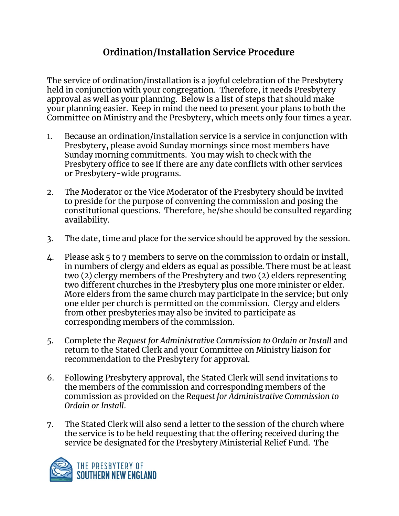## **Ordination/Installation Service Procedure**

The service of ordination/installation is a joyful celebration of the Presbytery held in conjunction with your congregation. Therefore, it needs Presbytery approval as well as your planning. Below is a list of steps that should make your planning easier. Keep in mind the need to present your plans to both the Committee on Ministry and the Presbytery, which meets only four times a year.

- 1. Because an ordination/installation service is a service in conjunction with Presbytery, please avoid Sunday mornings since most members have Sunday morning commitments. You may wish to check with the Presbytery office to see if there are any date conflicts with other services or Presbytery-wide programs.
- 2. The Moderator or the Vice Moderator of the Presbytery should be invited to preside for the purpose of convening the commission and posing the constitutional questions. Therefore, he/she should be consulted regarding availability.
- 3. The date, time and place for the service should be approved by the session.
- 4. Please ask 5 to 7 members to serve on the commission to ordain or install, in numbers of clergy and elders as equal as possible. There must be at least two (2) clergy members of the Presbytery and two (2) elders representing two different churches in the Presbytery plus one more minister or elder. More elders from the same church may participate in the service; but only one elder per church is permitted on the commission. Clergy and elders from other presbyteries may also be invited to participate as corresponding members of the commission.
- 5. Complete the *Request for Administrative Commission to Ordain or Install* and return to the Stated Clerk and your Committee on Ministry liaison for recommendation to the Presbytery for approval.
- 6. Following Presbytery approval, the Stated Clerk will send invitations to the members of the commission and corresponding members of the commission as provided on the *Request for Administrative Commission to Ordain or Install*.
- 7. The Stated Clerk will also send a letter to the session of the church where the service is to be held requesting that the offering received during the service be designated for the Presbytery Ministerial Relief Fund. The